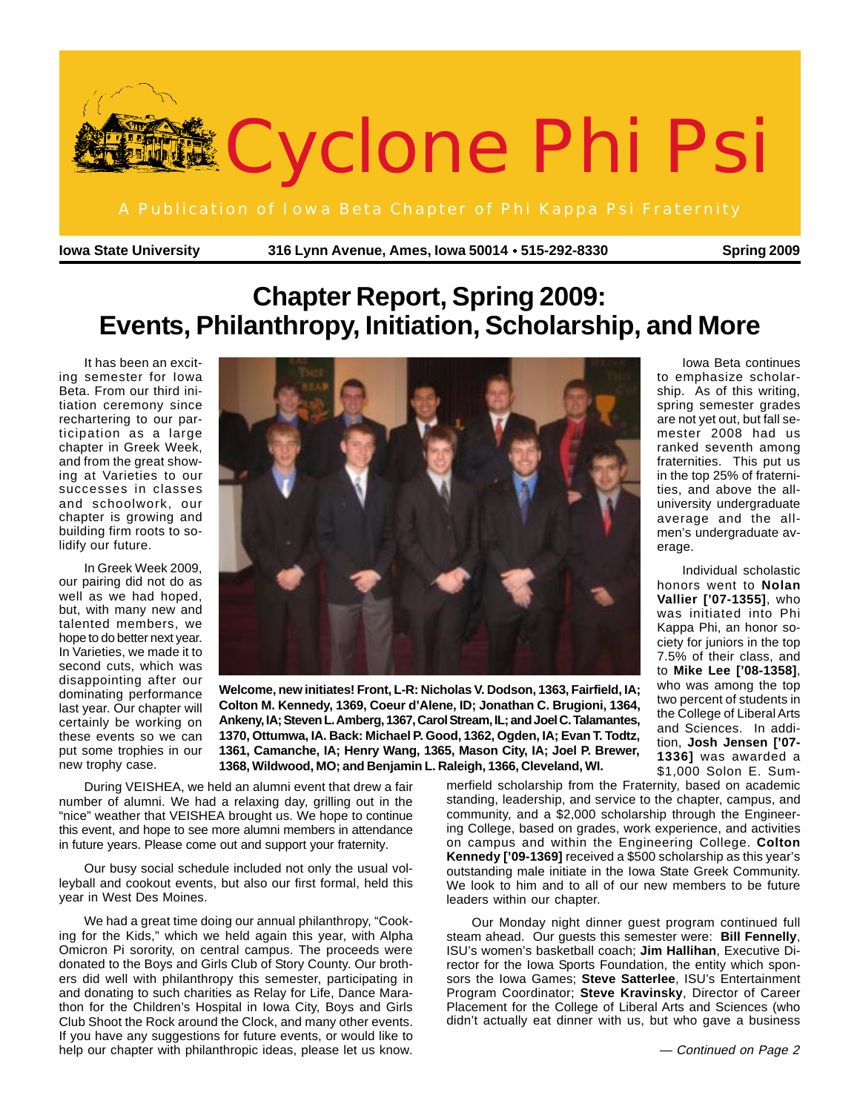

**Iowa State University 316 Lynn Avenue, Ames, Iowa 50014 515-292-8330 Spring 2009** ●

Iowa Beta continues to emphasize scholarship. As of this writing, spring semester grades are not yet out, but fall semester 2008 had us ranked seventh among fraternities. This put us in the top 25% of fraternities, and above the alluniversity undergraduate average and the allmen's undergraduate av-

Individual scholastic honors went to **Nolan Vallier ['07-1355]**, who was initiated into Phi Kappa Phi, an honor society for juniors in the top 7.5% of their class, and to **Mike Lee ['08-1358]**, who was among the top two percent of students in the College of Liberal Arts and Sciences. In addition, **Josh Jensen ['07- 1336]** was awarded a \$1,000 Solon E. Sum-

erage.

# **Chapter Report, Spring 2009: Events, Philanthropy, Initiation, Scholarship, and More**

It has been an exciting semester for Iowa Beta. From our third initiation ceremony since rechartering to our participation as a large chapter in Greek Week, and from the great showing at Varieties to our successes in classes and schoolwork, our chapter is growing and building firm roots to solidify our future.

In Greek Week 2009, our pairing did not do as well as we had hoped, but, with many new and talented members, we hope to do better next year. In Varieties, we made it to second cuts, which was disappointing after our dominating performance last year. Our chapter will certainly be working on these events so we can put some trophies in our new trophy case.



**Welcome, new initiates! Front, L-R: Nicholas V. Dodson, 1363, Fairfield, IA; Colton M. Kennedy, 1369, Coeur d'Alene, ID; Jonathan C. Brugioni, 1364, Ankeny, IA; Steven L. Amberg, 1367, Carol Stream, IL; and Joel C. Talamantes, 1370, Ottumwa, IA. Back: Michael P. Good, 1362, Ogden, IA; Evan T. Todtz, 1361, Camanche, IA; Henry Wang, 1365, Mason City, IA; Joel P. Brewer, 1368, Wildwood, MO; and Benjamin L. Raleigh, 1366, Cleveland, WI.**

During VEISHEA, we held an alumni event that drew a fair number of alumni. We had a relaxing day, grilling out in the "nice" weather that VEISHEA brought us. We hope to continue this event, and hope to see more alumni members in attendance in future years. Please come out and support your fraternity.

Our busy social schedule included not only the usual volleyball and cookout events, but also our first formal, held this year in West Des Moines.

We had a great time doing our annual philanthropy, "Cooking for the Kids," which we held again this year, with Alpha Omicron Pi sorority, on central campus. The proceeds were donated to the Boys and Girls Club of Story County. Our brothers did well with philanthropy this semester, participating in and donating to such charities as Relay for Life, Dance Marathon for the Children's Hospital in Iowa City, Boys and Girls Club Shoot the Rock around the Clock, and many other events. If you have any suggestions for future events, or would like to help our chapter with philanthropic ideas, please let us know.

merfield scholarship from the Fraternity, based on academic standing, leadership, and service to the chapter, campus, and community, and a \$2,000 scholarship through the Engineering College, based on grades, work experience, and activities on campus and within the Engineering College. **Colton Kennedy ['09-1369]** received a \$500 scholarship as this year's outstanding male initiate in the Iowa State Greek Community. We look to him and to all of our new members to be future leaders within our chapter.

Our Monday night dinner guest program continued full steam ahead. Our guests this semester were: **Bill Fennelly**, ISU's women's basketball coach; **Jim Hallihan**, Executive Director for the Iowa Sports Foundation, the entity which sponsors the Iowa Games; **Steve Satterlee**, ISU's Entertainment Program Coordinator; **Steve Kravinsky**, Director of Career Placement for the College of Liberal Arts and Sciences (who didn't actually eat dinner with us, but who gave a business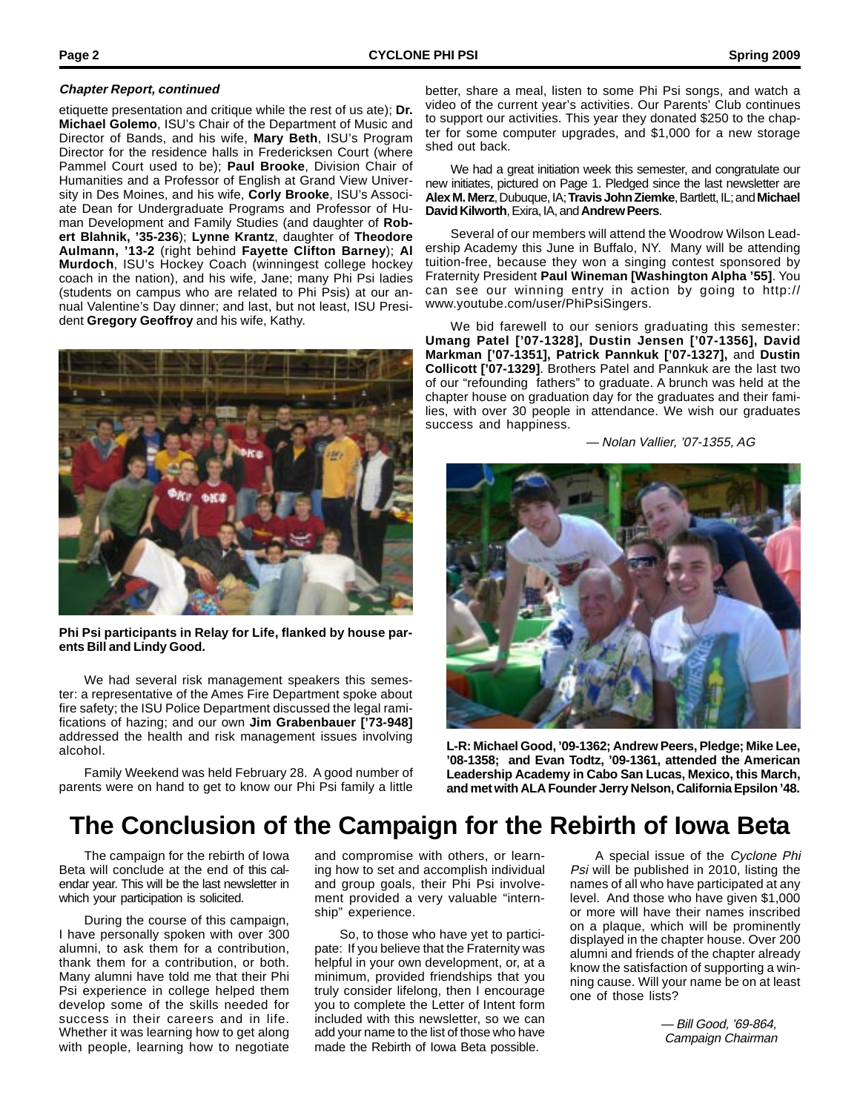#### **Chapter Report, continued**

etiquette presentation and critique while the rest of us ate); **Dr. Michael Golemo**, ISU's Chair of the Department of Music and Director of Bands, and his wife, **Mary Beth**, ISU's Program Director for the residence halls in Fredericksen Court (where Pammel Court used to be); **Paul Brooke**, Division Chair of Humanities and a Professor of English at Grand View University in Des Moines, and his wife, **Corly Brooke**, ISU's Associate Dean for Undergraduate Programs and Professor of Human Development and Family Studies (and daughter of **Robert Blahnik, '35-236**); **Lynne Krantz**, daughter of **Theodore Aulmann, '13-2** (right behind **Fayette Clifton Barney**); **Al Murdoch**, ISU's Hockey Coach (winningest college hockey coach in the nation), and his wife, Jane; many Phi Psi ladies (students on campus who are related to Phi Psis) at our annual Valentine's Day dinner; and last, but not least, ISU President **Gregory Geoffroy** and his wife, Kathy.



**Phi Psi participants in Relay for Life, flanked by house parents Bill and Lindy Good.**

We had several risk management speakers this semester: a representative of the Ames Fire Department spoke about fire safety; the ISU Police Department discussed the legal ramifications of hazing; and our own **Jim Grabenbauer ['73-948]** addressed the health and risk management issues involving alcohol.

Family Weekend was held February 28. A good number of parents were on hand to get to know our Phi Psi family a little

better, share a meal, listen to some Phi Psi songs, and watch a video of the current year's activities. Our Parents' Club continues to support our activities. This year they donated \$250 to the chapter for some computer upgrades, and \$1,000 for a new storage shed out back.

We had a great initiation week this semester, and congratulate our new initiates, pictured on Page 1. Pledged since the last newsletter are **Alex M. Merz**, Dubuque, IA; **Travis John Ziemke**, Bartlett, IL; and **Michael David Kilworth**, Exira, IA, and **Andrew Peers**.

Several of our members will attend the Woodrow Wilson Leadership Academy this June in Buffalo, NY. Many will be attending tuition-free, because they won a singing contest sponsored by Fraternity President **Paul Wineman [Washington Alpha '55]**. You can see our winning entry in action by going to http:// www.youtube.com/user/PhiPsiSingers.

We bid farewell to our seniors graduating this semester: **Umang Patel ['07-1328], Dustin Jensen ['07-1356], David Markman ['07-1351], Patrick Pannkuk ['07-1327],** and **Dustin Collicott ['07-1329]**. Brothers Patel and Pannkuk are the last two of our "refounding fathers" to graduate. A brunch was held at the chapter house on graduation day for the graduates and their families, with over 30 people in attendance. We wish our graduates success and happiness.

— Nolan Vallier, '07-1355, AG



**L-R: Michael Good, '09-1362; Andrew Peers, Pledge; Mike Lee, '08-1358; and Evan Todtz, '09-1361, attended the American Leadership Academy in Cabo San Lucas, Mexico, this March, and met with ALA Founder Jerry Nelson, California Epsilon '48.**

### **The Conclusion of the Campaign for the Rebirth of Iowa Beta**

The campaign for the rebirth of Iowa Beta will conclude at the end of this calendar year. This will be the last newsletter in which your participation is solicited.

During the course of this campaign, I have personally spoken with over 300 alumni, to ask them for a contribution, thank them for a contribution, or both. Many alumni have told me that their Phi Psi experience in college helped them develop some of the skills needed for success in their careers and in life. Whether it was learning how to get along with people, learning how to negotiate and compromise with others, or learning how to set and accomplish individual and group goals, their Phi Psi involvement provided a very valuable "internship" experience.

So, to those who have yet to participate: If you believe that the Fraternity was helpful in your own development, or, at a minimum, provided friendships that you truly consider lifelong, then I encourage you to complete the Letter of Intent form included with this newsletter, so we can add your name to the list of those who have made the Rebirth of Iowa Beta possible.

A special issue of the Cyclone Phi Psi will be published in 2010, listing the names of all who have participated at any level. And those who have given \$1,000 or more will have their names inscribed on a plaque, which will be prominently displayed in the chapter house. Over 200 alumni and friends of the chapter already know the satisfaction of supporting a winning cause. Will your name be on at least one of those lists?

> — Bill Good, '69-864, Campaign Chairman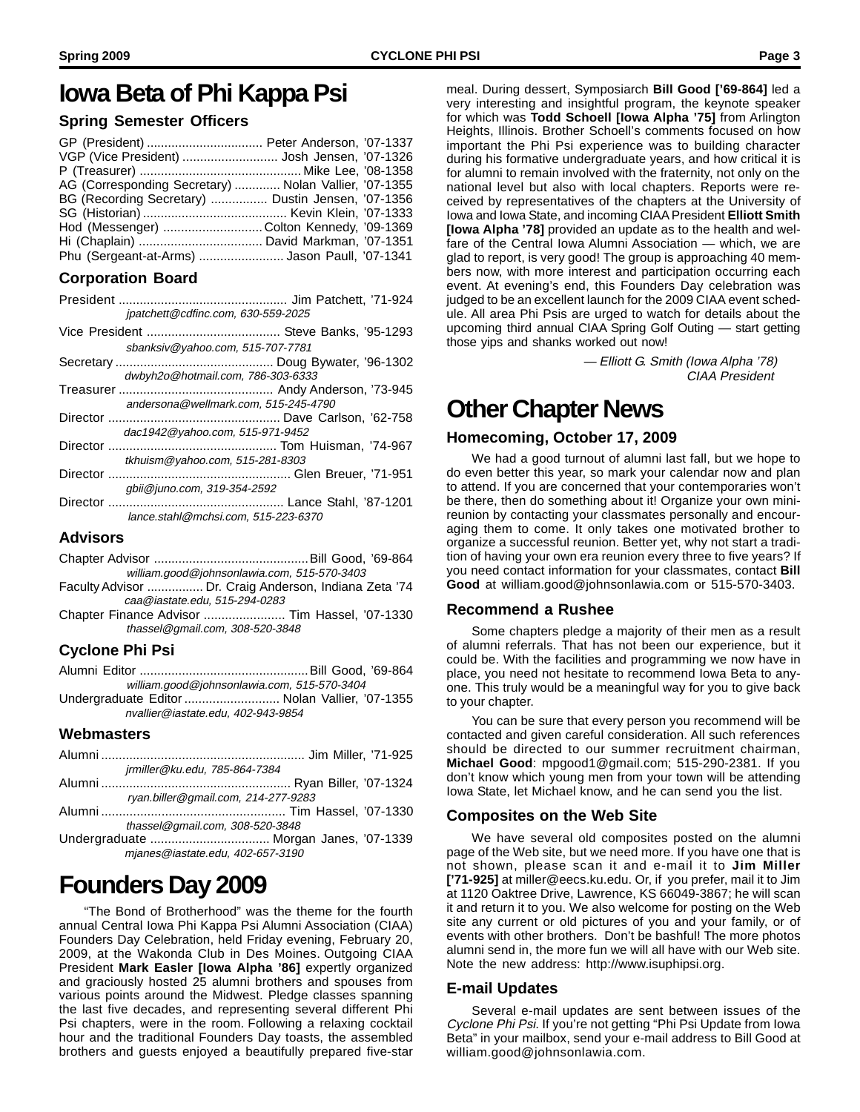### **Iowa Beta of Phi Kappa Psi**

### **Spring Semester Officers**

| VGP (Vice President)  Josh Jensen, '07-1326           |  |
|-------------------------------------------------------|--|
|                                                       |  |
| AG (Corresponding Secretary)  Nolan Vallier, '07-1355 |  |
| BG (Recording Secretary)  Dustin Jensen, '07-1356     |  |
|                                                       |  |
| Hod (Messenger) Colton Kennedy, '09-1369              |  |
|                                                       |  |
| Phu (Sergeant-at-Arms) Jason Paull, '07-1341          |  |

### **Corporation Board**

- President ................................................ Jim Patchett, '71-924 jpatchett@cdfinc.com, 630-559-2025
- Vice President ...................................... Steve Banks, '95-1293 sbanksiv@yahoo.com, 515-707-7781
- Secretary ............................................. Doug Bywater, '96-1302 dwbyh2o@hotmail.com, 786-303-6333
- Treasurer ............................................ Andy Anderson, '73-945 andersona@wellmark.com, 515-245-4790
- Director ................................................. Dave Carlson, '62-758 dac1942@yahoo.com, 515-971-9452
- Director ................................................ Tom Huisman, '74-967 tkhuism@yahoo.com, 515-281-8303
- Director .................................................... Glen Breuer, '71-951 gbii@juno.com, 319-354-2592
- Director .................................................. Lance Stahl, '87-1201 lance.stahl@mchsi.com, 515-223-6370

### **Advisors**

- Chapter Advisor ............................................Bill Good, '69-864 william.good@johnsonlawia.com, 515-570-3403
- Faculty Advisor ................ Dr. Craig Anderson, Indiana Zeta '74 caa@iastate.edu, 515-294-0283
- Chapter Finance Advisor ....................... Tim Hassel, '07-1330 thassel@gmail.com, 308-520-3848

### **Cyclone Phi Psi**

- Alumni Editor ................................................Bill Good, '69-864 william.good@johnsonlawia.com, 515-570-3404
- Undergraduate Editor ........................... Nolan Vallier, '07-1355 nvallier@iastate.edu, 402-943-9854

### **Webmasters**

| jrmiller@ku.edu, 785-864-7384         |  |
|---------------------------------------|--|
|                                       |  |
| ryan.biller@gmail.com, 214-277-9283   |  |
|                                       |  |
| thassel@gmail.com, 308-520-3848       |  |
| Undergraduate  Morgan Janes, '07-1339 |  |
| mjanes@iastate.edu, 402-657-3190      |  |

# **Founders Day 2009**

"The Bond of Brotherhood" was the theme for the fourth annual Central Iowa Phi Kappa Psi Alumni Association (CIAA) Founders Day Celebration, held Friday evening, February 20, 2009, at the Wakonda Club in Des Moines. Outgoing CIAA President **Mark Easler [Iowa Alpha '86]** expertly organized and graciously hosted 25 alumni brothers and spouses from various points around the Midwest. Pledge classes spanning the last five decades, and representing several different Phi Psi chapters, were in the room. Following a relaxing cocktail hour and the traditional Founders Day toasts, the assembled brothers and guests enjoyed a beautifully prepared five-star

meal. During dessert, Symposiarch **Bill Good ['69-864]** led a very interesting and insightful program, the keynote speaker for which was **Todd Schoell [Iowa Alpha '75]** from Arlington Heights, Illinois. Brother Schoell's comments focused on how important the Phi Psi experience was to building character during his formative undergraduate years, and how critical it is for alumni to remain involved with the fraternity, not only on the national level but also with local chapters. Reports were received by representatives of the chapters at the University of Iowa and Iowa State, and incoming CIAA President **Elliott Smith [Iowa Alpha '78]** provided an update as to the health and welfare of the Central Iowa Alumni Association — which, we are glad to report, is very good! The group is approaching 40 members now, with more interest and participation occurring each event. At evening's end, this Founders Day celebration was judged to be an excellent launch for the 2009 CIAA event schedule. All area Phi Psis are urged to watch for details about the upcoming third annual CIAA Spring Golf Outing — start getting those yips and shanks worked out now!

> — Elliott G. Smith (Iowa Alpha '78) CIAA President

### **Other Chapter News**

### **Homecoming, October 17, 2009**

We had a good turnout of alumni last fall, but we hope to do even better this year, so mark your calendar now and plan to attend. If you are concerned that your contemporaries won't be there, then do something about it! Organize your own minireunion by contacting your classmates personally and encouraging them to come. It only takes one motivated brother to organize a successful reunion. Better yet, why not start a tradition of having your own era reunion every three to five years? If you need contact information for your classmates, contact **Bill Good** at william.good@johnsonlawia.com or 515-570-3403.

#### **Recommend a Rushee**

Some chapters pledge a majority of their men as a result of alumni referrals. That has not been our experience, but it could be. With the facilities and programming we now have in place, you need not hesitate to recommend Iowa Beta to anyone. This truly would be a meaningful way for you to give back to your chapter.

You can be sure that every person you recommend will be contacted and given careful consideration. All such references should be directed to our summer recruitment chairman, **Michael Good**: mpgood1@gmail.com; 515-290-2381. If you don't know which young men from your town will be attending Iowa State, let Michael know, and he can send you the list.

### **Composites on the Web Site**

We have several old composites posted on the alumni page of the Web site, but we need more. If you have one that is not shown, please scan it and e-mail it to **Jim Miller ['71-925]** at miller@eecs.ku.edu. Or, if you prefer, mail it to Jim at 1120 Oaktree Drive, Lawrence, KS 66049-3867; he will scan it and return it to you. We also welcome for posting on the Web site any current or old pictures of you and your family, or of events with other brothers. Don't be bashful! The more photos alumni send in, the more fun we will all have with our Web site. Note the new address: http://www.isuphipsi.org.

### **E-mail Updates**

Several e-mail updates are sent between issues of the Cyclone Phi Psi. If you're not getting "Phi Psi Update from Iowa Beta" in your mailbox, send your e-mail address to Bill Good at william.good@johnsonlawia.com.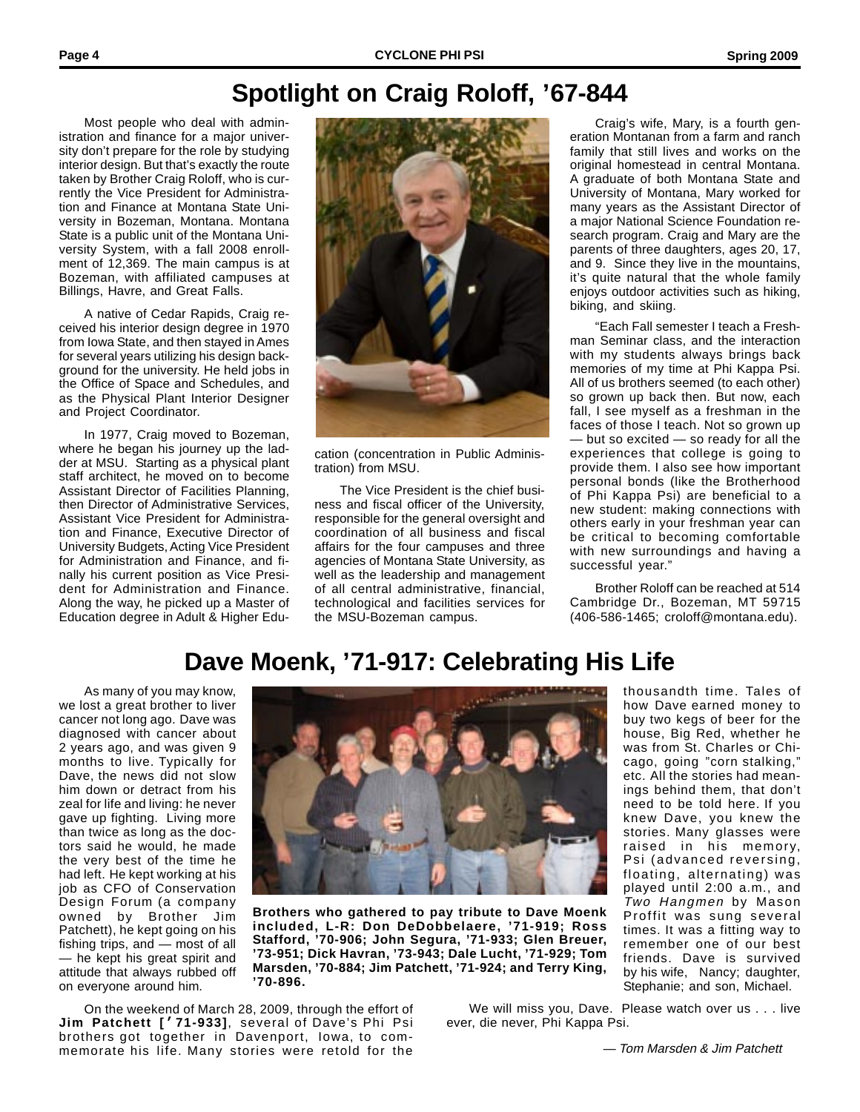# **Spotlight on Craig Roloff, '67-844**

Most people who deal with administration and finance for a major university don't prepare for the role by studying interior design. But that's exactly the route taken by Brother Craig Roloff, who is currently the Vice President for Administration and Finance at Montana State University in Bozeman, Montana. Montana State is a public unit of the Montana University System, with a fall 2008 enrollment of 12,369. The main campus is at Bozeman, with affiliated campuses at Billings, Havre, and Great Falls.

A native of Cedar Rapids, Craig received his interior design degree in 1970 from Iowa State, and then stayed in Ames for several years utilizing his design background for the university. He held jobs in the Office of Space and Schedules, and as the Physical Plant Interior Designer and Project Coordinator.

In 1977, Craig moved to Bozeman, where he began his journey up the ladder at MSU. Starting as a physical plant staff architect, he moved on to become Assistant Director of Facilities Planning, then Director of Administrative Services, Assistant Vice President for Administration and Finance, Executive Director of University Budgets, Acting Vice President for Administration and Finance, and finally his current position as Vice President for Administration and Finance. Along the way, he picked up a Master of Education degree in Adult & Higher Edu-



cation (concentration in Public Administration) from MSU.

The Vice President is the chief business and fiscal officer of the University, responsible for the general oversight and coordination of all business and fiscal affairs for the four campuses and three agencies of Montana State University, as well as the leadership and management of all central administrative, financial, technological and facilities services for the MSU-Bozeman campus.

Craig's wife, Mary, is a fourth generation Montanan from a farm and ranch family that still lives and works on the original homestead in central Montana. A graduate of both Montana State and University of Montana, Mary worked for many years as the Assistant Director of a major National Science Foundation research program. Craig and Mary are the parents of three daughters, ages 20, 17, and 9. Since they live in the mountains, it's quite natural that the whole family enjoys outdoor activities such as hiking, biking, and skiing.

"Each Fall semester I teach a Freshman Seminar class, and the interaction with my students always brings back memories of my time at Phi Kappa Psi. All of us brothers seemed (to each other) so grown up back then. But now, each fall, I see myself as a freshman in the faces of those I teach. Not so grown up — but so excited — so ready for all the experiences that college is going to provide them. I also see how important personal bonds (like the Brotherhood of Phi Kappa Psi) are beneficial to a new student: making connections with others early in your freshman year can be critical to becoming comfortable with new surroundings and having a successful year."

Brother Roloff can be reached at 514 Cambridge Dr., Bozeman, MT 59715 (406-586-1465; croloff@montana.edu).

> thousandth time. Tales of how Dave earned money to buy two kegs of beer for the house, Big Red, whether he was from St. Charles or Chicago, going "corn stalking," etc. All the stories had meanings behind them, that don't need to be told here. If you knew Dave, you knew the stories. Many glasses were raised in his memory, Psi (advanced reversing, floating, alternating) was played until 2:00 a.m., and Two Hangmen by Mason Proffit was sung several times. It was a fitting way to remember one of our best friends. Dave is survived by his wife, Nancy; daughter, Stephanie; and son, Michael.

# **Dave Moenk, '71-917: Celebrating His Life**

As many of you may know, we lost a great brother to liver cancer not long ago. Dave was diagnosed with cancer about 2 years ago, and was given 9 months to live. Typically for Dave, the news did not slow him down or detract from his zeal for life and living: he never gave up fighting. Living more than twice as long as the doctors said he would, he made the very best of the time he had left. He kept working at his job as CFO of Conservation Design Forum (a company owned by Brother Jim Patchett), he kept going on his fishing trips, and — most of all — he kept his great spirit and attitude that always rubbed off on everyone around him.



**Brothers who gathered to pay tribute to Dave Moenk included, L-R: Don DeDobbelaere, '71-919; Ross Stafford, '70-906; John Segura, '71-933; Glen Breuer, '73-951; Dick Havran, '73-943; Dale Lucht, '71-929; Tom Marsden, '70-884; Jim Patchett, '71-924; and Terry King, '70-896.**

On the weekend of March 28, 2009, through the effort of **Jim Patchett ['71-933]**, several of Dave's Phi Psi brothers got together in Davenport, Iowa, to commemorate his life. Many stories were retold for the

 We will miss you, Dave. Please watch over us . . . live ever, die never, Phi Kappa Psi.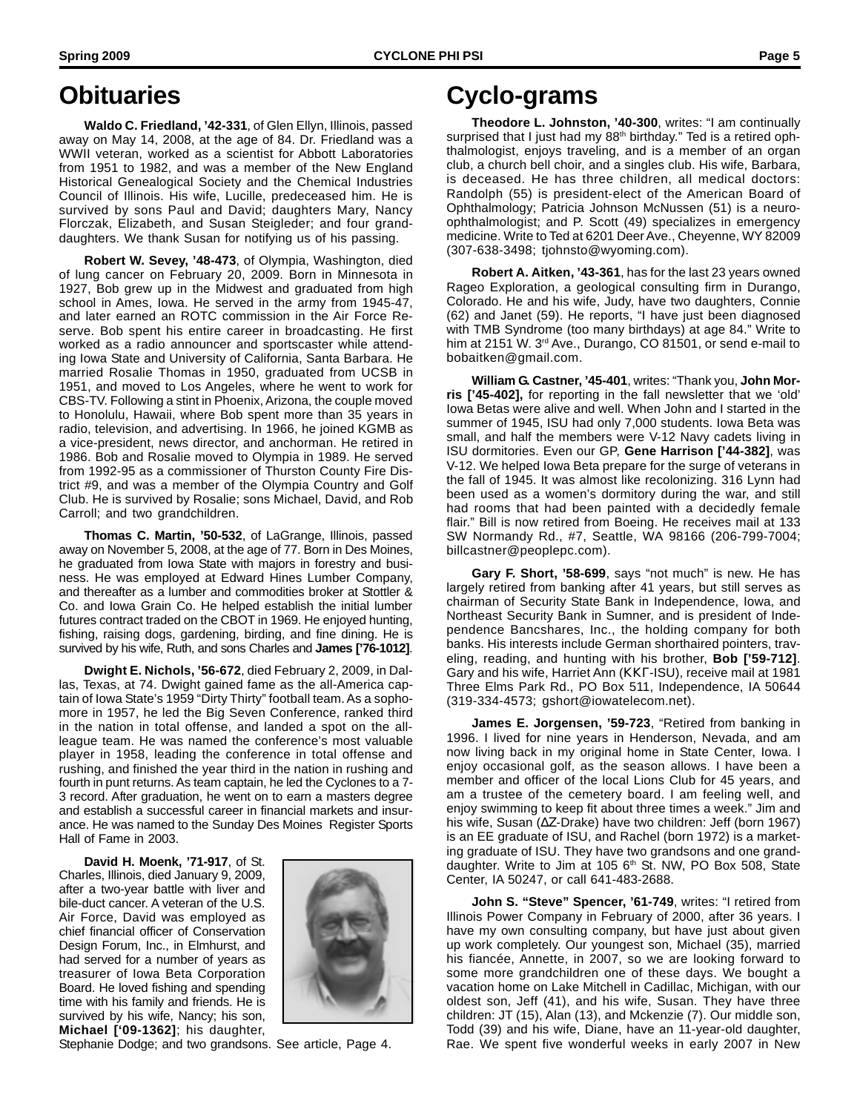**Waldo C. Friedland, '42-331**, of Glen Ellyn, Illinois, passed away on May 14, 2008, at the age of 84. Dr. Friedland was a WWII veteran, worked as a scientist for Abbott Laboratories from 1951 to 1982, and was a member of the New England Historical Genealogical Society and the Chemical Industries Council of Illinois. His wife, Lucille, predeceased him. He is survived by sons Paul and David; daughters Mary, Nancy Florczak, Elizabeth, and Susan Steigleder; and four granddaughters. We thank Susan for notifying us of his passing.

**Robert W. Sevey, '48-473**, of Olympia, Washington, died of lung cancer on February 20, 2009. Born in Minnesota in 1927, Bob grew up in the Midwest and graduated from high school in Ames, Iowa. He served in the army from 1945-47, and later earned an ROTC commission in the Air Force Reserve. Bob spent his entire career in broadcasting. He first worked as a radio announcer and sportscaster while attending Iowa State and University of California, Santa Barbara. He married Rosalie Thomas in 1950, graduated from UCSB in 1951, and moved to Los Angeles, where he went to work for CBS-TV. Following a stint in Phoenix, Arizona, the couple moved to Honolulu, Hawaii, where Bob spent more than 35 years in radio, television, and advertising. In 1966, he joined KGMB as a vice-president, news director, and anchorman. He retired in 1986. Bob and Rosalie moved to Olympia in 1989. He served from 1992-95 as a commissioner of Thurston County Fire District #9, and was a member of the Olympia Country and Golf Club. He is survived by Rosalie; sons Michael, David, and Rob Carroll; and two grandchildren.

**Thomas C. Martin, '50-532**, of LaGrange, Illinois, passed away on November 5, 2008, at the age of 77. Born in Des Moines, he graduated from Iowa State with majors in forestry and business. He was employed at Edward Hines Lumber Company, and thereafter as a lumber and commodities broker at Stottler & Co. and Iowa Grain Co. He helped establish the initial lumber futures contract traded on the CBOT in 1969. He enjoyed hunting, fishing, raising dogs, gardening, birding, and fine dining. He is survived by his wife, Ruth, and sons Charles and **James ['76-1012]**.

**Dwight E. Nichols, '56-672**, died February 2, 2009, in Dallas, Texas, at 74. Dwight gained fame as the all-America captain of Iowa State's 1959 "Dirty Thirty" football team. As a sophomore in 1957, he led the Big Seven Conference, ranked third in the nation in total offense, and landed a spot on the allleague team. He was named the conference's most valuable player in 1958, leading the conference in total offense and rushing, and finished the year third in the nation in rushing and fourth in punt returns. As team captain, he led the Cyclones to a 7- 3 record. After graduation, he went on to earn a masters degree and establish a successful career in financial markets and insurance. He was named to the Sunday Des Moines Register Sports Hall of Fame in 2003.

**David H. Moenk, '71-917**, of St. Charles, Illinois, died January 9, 2009, after a two-year battle with liver and bile-duct cancer. A veteran of the U.S. Air Force, David was employed as chief financial officer of Conservation Design Forum, Inc., in Elmhurst, and had served for a number of years as treasurer of Iowa Beta Corporation Board. He loved fishing and spending time with his family and friends. He is survived by his wife, Nancy; his son, **Michael ['09-1362]**; his daughter,



Stephanie Dodge; and two grandsons. See article, Page 4.

# **Cyclo-grams**

**Theodore L. Johnston, '40-300**, writes: "I am continually surprised that I just had my 88<sup>th</sup> birthday." Ted is a retired ophthalmologist, enjoys traveling, and is a member of an organ club, a church bell choir, and a singles club. His wife, Barbara, is deceased. He has three children, all medical doctors: Randolph (55) is president-elect of the American Board of Ophthalmology; Patricia Johnson McNussen (51) is a neuroophthalmologist; and P. Scott (49) specializes in emergency medicine. Write to Ted at 6201 Deer Ave., Cheyenne, WY 82009 (307-638-3498; tjohnsto@wyoming.com).

**Robert A. Aitken, '43-361**, has for the last 23 years owned Rageo Exploration, a geological consulting firm in Durango, Colorado. He and his wife, Judy, have two daughters, Connie (62) and Janet (59). He reports, "I have just been diagnosed with TMB Syndrome (too many birthdays) at age 84." Write to him at 2151 W. 3<sup>rd</sup> Ave., Durango, CO 81501, or send e-mail to bobaitken@gmail.com.

**William G. Castner, '45-401**, writes: "Thank you, **John Morris ['45-402],** for reporting in the fall newsletter that we 'old' Iowa Betas were alive and well. When John and I started in the summer of 1945, ISU had only 7,000 students. Iowa Beta was small, and half the members were V-12 Navy cadets living in ISU dormitories. Even our GP, **Gene Harrison ['44-382]**, was V-12. We helped Iowa Beta prepare for the surge of veterans in the fall of 1945. It was almost like recolonizing. 316 Lynn had been used as a women's dormitory during the war, and still had rooms that had been painted with a decidedly female flair." Bill is now retired from Boeing. He receives mail at 133 SW Normandy Rd., #7, Seattle, WA 98166 (206-799-7004; billcastner@peoplepc.com).

**Gary F. Short, '58-699**, says "not much" is new. He has largely retired from banking after 41 years, but still serves as chairman of Security State Bank in Independence, Iowa, and Northeast Security Bank in Sumner, and is president of Independence Bancshares, Inc., the holding company for both banks. His interests include German shorthaired pointers, traveling, reading, and hunting with his brother, **Bob ['59-712]**. Gary and his wife, Harriet Ann (ΚΚΓ-ISU), receive mail at 1981 Three Elms Park Rd., PO Box 511, Independence, IA 50644 (319-334-4573; gshort@iowatelecom.net).

**James E. Jorgensen, '59-723**, "Retired from banking in 1996. I lived for nine years in Henderson, Nevada, and am now living back in my original home in State Center, Iowa. I enjoy occasional golf, as the season allows. I have been a member and officer of the local Lions Club for 45 years, and am a trustee of the cemetery board. I am feeling well, and enjoy swimming to keep fit about three times a week." Jim and his wife, Susan (∆Ζ-Drake) have two children: Jeff (born 1967) is an EE graduate of ISU, and Rachel (born 1972) is a marketing graduate of ISU. They have two grandsons and one granddaughter. Write to Jim at 105 6<sup>th</sup> St. NW, PO Box 508, State Center, IA 50247, or call 641-483-2688.

**John S. "Steve" Spencer, '61-749**, writes: "I retired from Illinois Power Company in February of 2000, after 36 years. I have my own consulting company, but have just about given up work completely. Our youngest son, Michael (35), married his fiancée, Annette, in 2007, so we are looking forward to some more grandchildren one of these days. We bought a vacation home on Lake Mitchell in Cadillac, Michigan, with our oldest son, Jeff (41), and his wife, Susan. They have three children: JT (15), Alan (13), and Mckenzie (7). Our middle son, Todd (39) and his wife, Diane, have an 11-year-old daughter, Rae. We spent five wonderful weeks in early 2007 in New